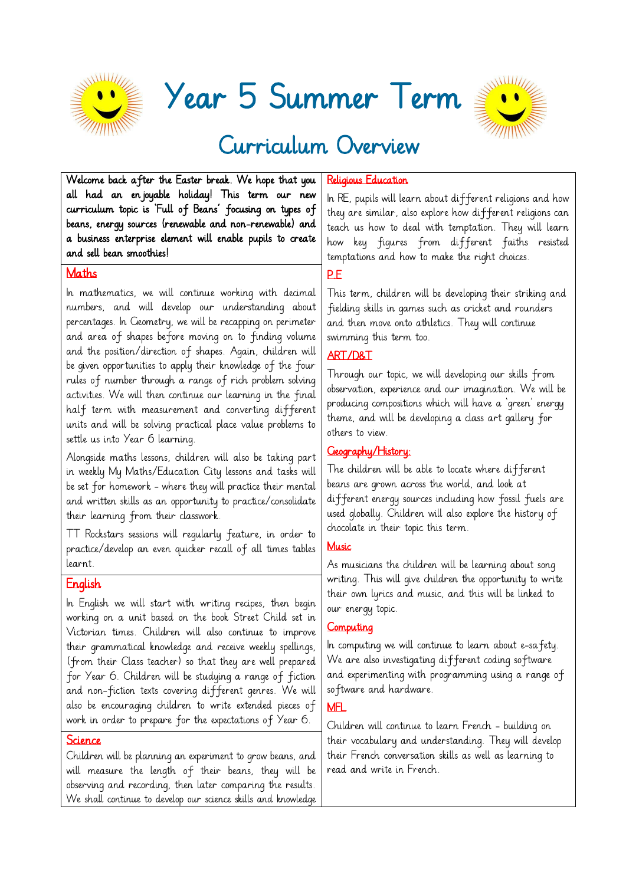

Year 5 Summer Term



# Curriculum Overview

Welcome back after the Easter break. We hope that you all had an enjoyable holiday! This term our new curriculum topic is 'Full of Beans' focusing on types of beans, energy sources (renewable and non-renewable) and a business enterprise element will enable pupils to create and sell bean smoothies!

#### Maths

In mathematics, we will continue working with decimal numbers, and will develop our understanding about percentages. In Geometry, we will be recapping on perimeter and area of shapes before moving on to finding volume and the position/direction of shapes. Again, children will be given opportunities to apply their knowledge of the four rules of number through a range of rich problem solving activities. We will then continue our learning in the final half term with measurement and converting different units and will be solving practical place value problems to settle us into Year 6 learning.

Alongside maths lessons, children will also be taking part in weekly My Maths/Education City lessons and tasks will be set for homework - where they will practice their mental and written skills as an opportunity to practice/consolidate their learning from their classwork.

TT Rockstars sessions will regularly feature, in order to practice/develop an even quicker recall of all times tables learnt.

# **English**

In English we will start with writing recipes, then begin working on a unit based on the book Street Child set in Victorian times. Children will also continue to improve their grammatical knowledge and receive weekly spellings, (from their Class teacher) so that they are well prepared for Year 6. Children will be studying a range of fiction and non-fiction texts covering different genres. We will also be encouraging children to write extended pieces of work in order to prepare for the expectations of Year 6.

#### Science

Children will be planning an experiment to grow beans, and will measure the length of their beans, they will be observing and recording, then later comparing the results. We shall continue to develop our science skills and knowledge

#### Religious Education

In RE, pupils will learn about different religions and how they are similar, also explore how different religions can teach us how to deal with temptation. They will learn how key figures from different faiths resisted temptations and how to make the right choices.

# P.E

This term, children will be developing their striking and fielding skills in games such as cricket and rounders and then move onto athletics. They will continue swimming this term too.

# ART/D&T

Through our topic, we will developing our skills from observation, experience and our imagination. We will be producing compositions which will have a 'green' energy theme, and will be developing a class art gallery for others to view.

# Geography/History:

The children will be able to locate where different beans are grown across the world, and look at different energy sources including how fossil fuels are used globally. Children will also explore the history of chocolate in their topic this term.

# **Music**

As musicians the children will be learning about song writing. This will give children the opportunity to write their own lyrics and music, and this will be linked to our energy topic.

#### **Computing**

In computing we will continue to learn about e-safety. We are also investigating different coding software and experimenting with programming using a range of software and hardware.

#### MFL

Children will continue to learn French - building on their vocabulary and understanding. They will develop their French conversation skills as well as learning to read and write in French.